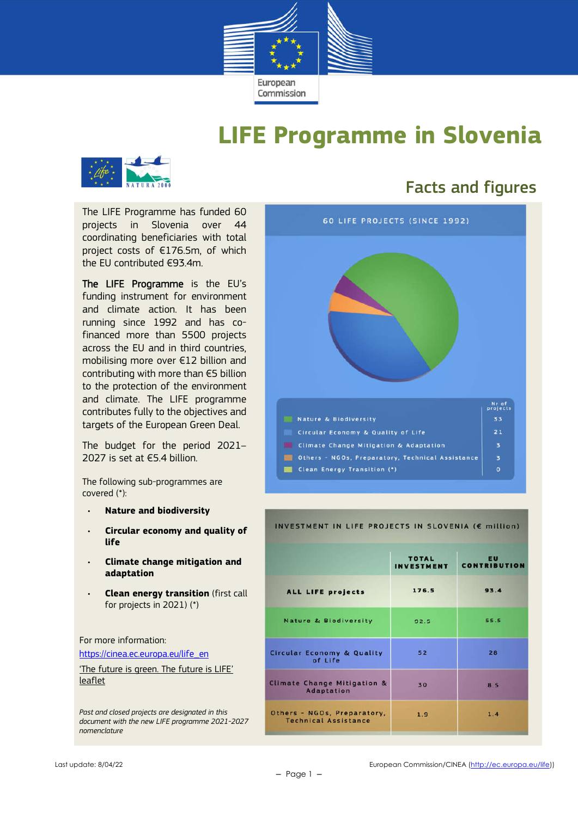

## **LIFE Programme in Slovenia**



## Facts and figures

The LIFE Programme has funded 60 projects in Slovenia over 44 coordinating beneficiaries with total project costs of €176.5m, of which the EU contributed €93.4m.

The LIFE Programme is the EU's funding instrument for environment and climate action. It has been running since 1992 and has cofinanced more than 5500 projects across the EU and in third countries, mobilising more over €12 billion and contributing with more than €5 billion to the protection of the environment and climate. The LIFE programme contributes fully to the objectives and targets of the European Green Deal.

The budget for the period 2021– 2027 is set at  $€5.4$  billion.

The following sub-programmes are covered (\*):

- **Nature and biodiversity**
- **Circular economy and quality of life**
- **Climate change mitigation and adaptation**
- **Clean energy transition** (first call for projects in 2021) (\*)

For more information:

https://cinea.ec.europa.eu/life\_en

'The future is green. The future is LIFE' leaflet

*Past and closed projects are designated in this document with the new LIFE programme 2021-2027 nomenclature*



#### INVESTMENT IN LIFE PROJECTS IN SLOVENIA (€ million)

|                                                            | <b>TOTAL</b><br><b>INVESTMENT</b> | <b>EU</b><br><b>CONTRIBUTION</b> |  |
|------------------------------------------------------------|-----------------------------------|----------------------------------|--|
| ALL LIFE projects                                          | 176.5                             | 93.4                             |  |
| <b>Nature &amp; Biodiversity</b>                           | 92.5                              | 55.5                             |  |
| <b>Circular Economy &amp; Quality</b><br>of Life           | 52                                | 28                               |  |
| Climate Change Mitigation &<br>Adaptation                  | 30                                | 8.5                              |  |
| Others - NGOs, Preparatory,<br><b>Technical Assistance</b> | 1.9                               | 1.4                              |  |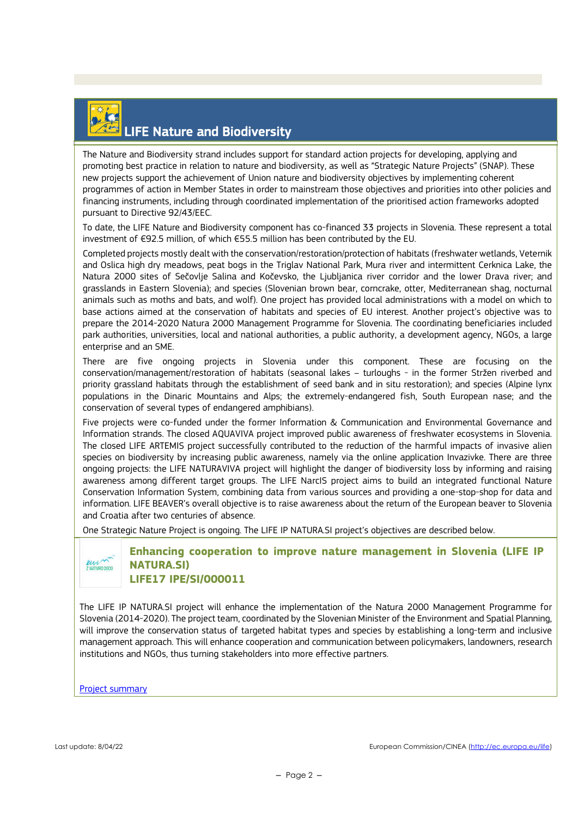

### LIFE Nature and Biodiversity

The Nature and Biodiversity strand includes support for standard action projects for developing, applying and promoting best practice in relation to nature and biodiversity, as well as "Strategic Nature Projects" (SNAP). These new projects support the achievement of Union nature and biodiversity objectives by implementing coherent programmes of action in Member States in order to mainstream those objectives and priorities into other policies and financing instruments, including through coordinated implementation of the prioritised action frameworks adopted pursuant to Directive 92/43/EEC.

To date, the LIFE Nature and Biodiversity component has co-financed 33 projects in Slovenia. These represent a total investment of €92.5 million, of which €55.5 million has been contributed by the EU.

Completed projects mostly dealt with the conservation/restoration/protection of habitats (freshwater wetlands, Veternik and Oslica high dry meadows, peat bogs in the Triglav National Park, Mura river and intermittent Cerknica Lake, the Natura 2000 sites of Sečovlje Salina and Kočevsko, the Ljubljanica river corridor and the lower Drava river; and grasslands in Eastern Slovenia); and species (Slovenian brown bear, corncrake, otter, Mediterranean shag, nocturnal animals such as moths and bats, and wolf). One project has provided local administrations with a model on which to base actions aimed at the conservation of habitats and species of EU interest. Another project's objective was to prepare the 2014-2020 Natura 2000 Management Programme for Slovenia. The coordinating beneficiaries included park authorities, universities, local and national authorities, a public authority, a development agency, NGOs, a large enterprise and an SME.

There are five ongoing projects in Slovenia under this component. These are focusing on the conservation/management/restoration of habitats (seasonal lakes – turloughs - in the former Stržen riverbed and priority grassland habitats through the establishment of seed bank and in situ restoration); and species (Alpine lynx populations in the Dinaric Mountains and Alps; the extremely-endangered fish, South European nase; and the conservation of several types of endangered amphibians).

Five projects were co-funded under the former Information & Communication and Environmental Governance and Information strands. The closed AQUAVIVA project improved public awareness of freshwater ecosystems in Slovenia. The closed LIFE ARTEMIS project successfully contributed to the reduction of the harmful impacts of invasive alien species on biodiversity by increasing public awareness, namely via the online application Invazivke. There are three ongoing projects: the LIFE NATURAVIVA project will highlight the danger of biodiversity loss by informing and raising awareness among different target groups. The LIFE NarcIS project aims to build an integrated functional Nature Conservation Information System, combining data from various sources and providing a one-stop-shop for data and information. LIFE BEAVER's overall objective is to raise awareness about the return of the European beaver to Slovenia and Croatia after two centuries of absence.

One Strategic Nature Project is ongoing. The LIFE IP NATURA.SI project's objectives are described below.



**Enhancing cooperation to improve nature management in Slovenia (LIFE IP NATURA.SI) LIFE17 IPE/SI/000011**

The LIFE IP NATURA.SI project will enhance the implementation of the Natura 2000 Management Programme for Slovenia (2014-2020). The project team, coordinated by the Slovenian Minister of the Environment and Spatial Planning, will improve the conservation status of targeted habitat types and species by establishing a long-term and inclusive management approach. This will enhance cooperation and communication between policymakers, landowners, research institutions and NGOs, thus turning stakeholders into more effective partners.

Project summary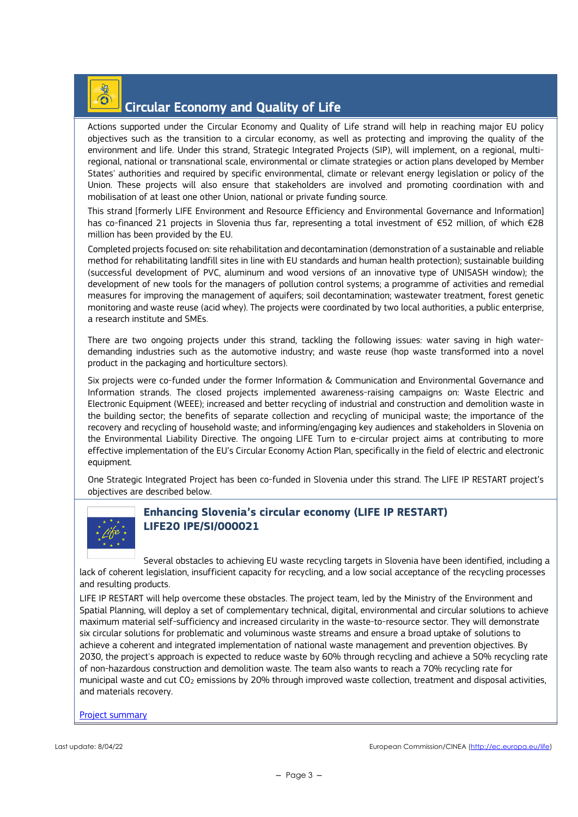#### $\widehat{\mathbf{O}}$ Circular Economy and Quality of Life

Actions supported under the Circular Economy and Quality of Life strand will help in reaching major EU policy objectives such as the transition to a circular economy, as well as protecting and improving the quality of the environment and life. Under this strand, Strategic Integrated Projects (SIP), will implement, on a regional, multiregional, national or transnational scale, environmental or climate strategies or action plans developed by Member States' authorities and required by specific environmental, climate or relevant energy legislation or policy of the Union. These projects will also ensure that stakeholders are involved and promoting coordination with and mobilisation of at least one other Union, national or private funding source.

This strand [formerly LIFE Environment and Resource Efficiency and Environmental Governance and Information] has co-financed 21 projects in Slovenia thus far, representing a total investment of €52 million, of which €28 million has been provided by the EU.

Completed projects focused on: site rehabilitation and decontamination (demonstration of a sustainable and reliable method for rehabilitating landfill sites in line with EU standards and human health protection); sustainable building (successful development of PVC, aluminum and wood versions of an innovative type of UNISASH window); the development of new tools for the managers of pollution control systems; a programme of activities and remedial measures for improving the management of aquifers; soil decontamination; wastewater treatment, forest genetic monitoring and waste reuse (acid whey). The projects were coordinated by two local authorities, a public enterprise, a research institute and SMEs.

There are two ongoing projects under this strand, tackling the following issues: water saving in high waterdemanding industries such as the automotive industry; and waste reuse (hop waste transformed into a novel product in the packaging and horticulture sectors).

Six projects were co-funded under the former Information & Communication and Environmental Governance and Information strands. The closed projects implemented awareness-raising campaigns on: Waste Electric and Electronic Equipment (WEEE); increased and better recycling of industrial and construction and demolition waste in the building sector; the benefits of separate collection and recycling of municipal waste; the importance of the recovery and recycling of household waste; and informing/engaging key audiences and stakeholders in Slovenia on the Environmental Liability Directive. The ongoing LIFE Turn to e-circular project aims at contributing to more effective implementation of the EU's Circular Economy Action Plan, specifically in the field of electric and electronic equipment.

One Strategic Integrated Project has been co-funded in Slovenia under this strand. The LIFE IP RESTART project's objectives are described below.



### **Enhancing Slovenia's circular economy (LIFE IP RESTART) LIFE20 IPE/SI/000021**

Several obstacles to achieving EU waste recycling targets in Slovenia have been identified, including a lack of coherent legislation, insufficient capacity for recycling, and a low social acceptance of the recycling processes and resulting products.

LIFE IP RESTART will help overcome these obstacles. The project team, led by the Ministry of the Environment and Spatial Planning, will deploy a set of complementary technical, digital, environmental and circular solutions to achieve maximum material self-sufficiency and increased circularity in the waste-to-resource sector. They will demonstrate six circular solutions for problematic and voluminous waste streams and ensure a broad uptake of solutions to achieve a coherent and integrated implementation of national waste management and prevention objectives. By 2030, the project's approach is expected to reduce waste by 60% through recycling and achieve a 50% recycling rate of non-hazardous construction and demolition waste. The team also wants to reach a 70% recycling rate for municipal waste and cut CO<sub>2</sub> emissions by 20% through improved waste collection, treatment and disposal activities, and materials recovery.

Project summary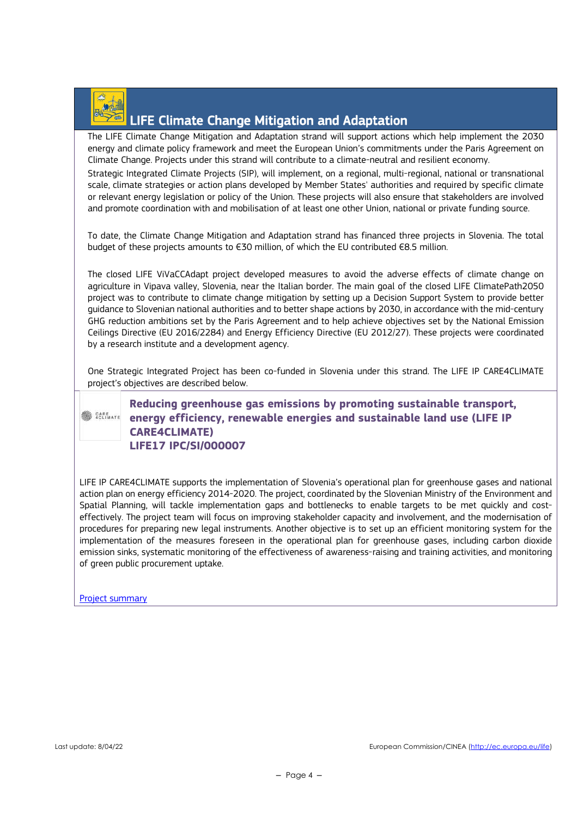

## LIFE Climate Change Mitigation and Adaptation

The LIFE Climate Change Mitigation and Adaptation strand will support actions which help implement the 2030 energy and climate policy framework and meet the European Union's commitments under the Paris Agreement on Climate Change. Projects under this strand will contribute to a climate-neutral and resilient economy.

Strategic Integrated Climate Projects (SIP), will implement, on a regional, multi-regional, national or transnational scale, climate strategies or action plans developed by Member States' authorities and required by specific climate or relevant energy legislation or policy of the Union. These projects will also ensure that stakeholders are involved and promote coordination with and mobilisation of at least one other Union, national or private funding source.

To date, the Climate Change Mitigation and Adaptation strand has financed three projects in Slovenia. The total budget of these projects amounts to €30 million, of which the EU contributed €8.5 million.

The closed LIFE ViVaCCAdapt project developed measures to avoid the adverse effects of climate change on agriculture in Vipava valley, Slovenia, near the Italian border. The main goal of the closed LIFE ClimatePath2050 project was to contribute to climate change mitigation by setting up a Decision Support System to provide better guidance to Slovenian national authorities and to better shape actions by 2030, in accordance with the mid-century GHG reduction ambitions set by the Paris Agreement and to help achieve objectives set by the National Emission Ceilings Directive (EU 2016/2284) and Energy Efficiency Directive (EU 2012/27). These projects were coordinated by a research institute and a development agency.

One Strategic Integrated Project has been co-funded in Slovenia under this strand. The LIFE IP CARE4CLIMATE project's objectives are described below.



**Reducing greenhouse gas emissions by promoting sustainable transport, EXARGATE ENERGY Efficiency, renewable energies and sustainable land use (LIFE IP CARE4CLIMATE) LIFE17 IPC/SI/000007**

LIFE IP CARE4CLIMATE supports the implementation of Slovenia's operational plan for greenhouse gases and national action plan on energy efficiency 2014-2020. The project, coordinated by the Slovenian Ministry of the Environment and Spatial Planning, will tackle implementation gaps and bottlenecks to enable targets to be met quickly and costeffectively. The project team will focus on improving stakeholder capacity and involvement, and the modernisation of procedures for preparing new legal instruments. Another objective is to set up an efficient monitoring system for the implementation of the measures foreseen in the operational plan for greenhouse gases, including carbon dioxide emission sinks, systematic monitoring of the effectiveness of awareness-raising and training activities, and monitoring of green public procurement uptake.

Project summary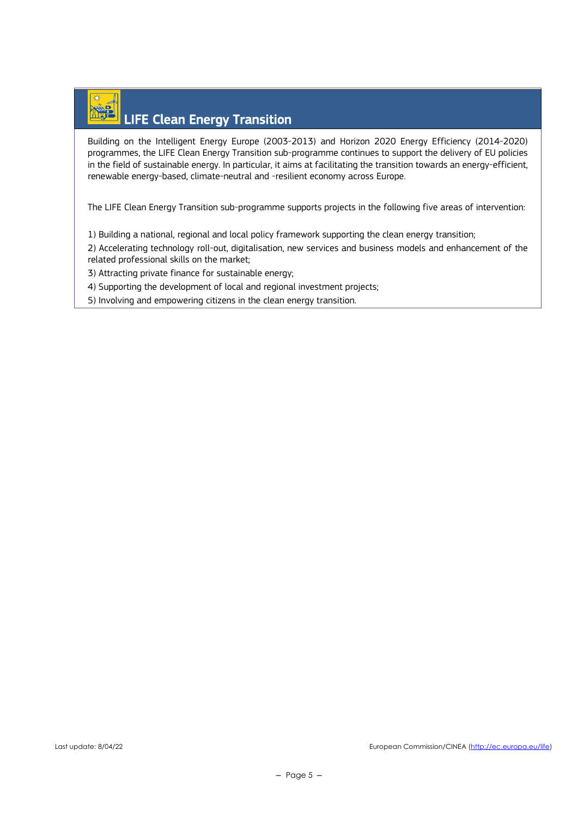# LIFE Clean Energy Transition

Building on the Intelligent Energy Europe (2003-2013) and Horizon 2020 Energy Efficiency (2014-2020) programmes, the LIFE Clean Energy Transition sub-programme continues to support the delivery of EU policies in the field of sustainable energy. In particular, it aims at facilitating the transition towards an energy-efficient, renewable energy-based, climate-neutral and -resilient economy across Europe.

The LIFE Clean Energy Transition sub-programme supports projects in the following five areas of intervention:

1) Building a national, regional and local policy framework supporting the clean energy transition;

2) Accelerating technology roll-out, digitalisation, new services and business models and enhancement of the related professional skills on the market;

3) Attracting private finance for sustainable energy;

4) Supporting the development of local and regional investment projects;

5) Involving and empowering citizens in the clean energy transition.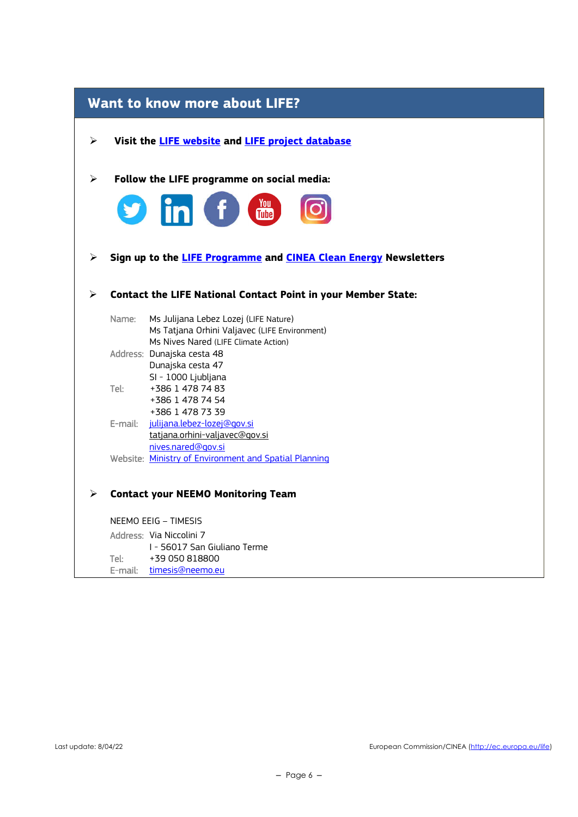| <b>Want to know more about LIFE?</b> |         |                                                                                                                                |  |
|--------------------------------------|---------|--------------------------------------------------------------------------------------------------------------------------------|--|
| ≻                                    |         | Visit the <b>LIFE</b> website and <b>LIFE</b> project database                                                                 |  |
| ➤                                    |         | Follow the LIFE programme on social media:                                                                                     |  |
|                                      | Y       | <b>in</b> f and                                                                                                                |  |
| ➤                                    |         | Sign up to the LIFE Programme and CINEA Clean Energy Newsletters                                                               |  |
| ⋗                                    |         | <b>Contact the LIFE National Contact Point in your Member State:</b>                                                           |  |
|                                      | Name:   | Ms Julijana Lebez Lozej (LIFE Nature)<br>Ms Tatjana Orhini Valjavec (LIFE Environment)<br>Ms Nives Nared (LIFE Climate Action) |  |
|                                      |         | Address: Dunajska cesta 48<br>Dunajska cesta 47                                                                                |  |
|                                      | Tel:    | SI - 1000 Ljubljana<br>+386 1 478 74 83<br>+386 1 478 74 54                                                                    |  |
|                                      |         | +386 1 478 73 39<br>E-mail: julijana.lebez-lozej@gov.si<br>tatjana.orhini-valjavec@gov.si                                      |  |
|                                      |         | nives.nared@gov.si<br>Website: Ministry of Environment and Spatial Planning                                                    |  |
| ➤                                    |         | <b>Contact your NEEMO Monitoring Team</b>                                                                                      |  |
|                                      |         | NEEMO EEIG - TIMESIS                                                                                                           |  |
|                                      |         | Address: Via Niccolini 7                                                                                                       |  |
|                                      | Tel:    | I - 56017 San Giuliano Terme<br>+39 050 818800                                                                                 |  |
|                                      | E-mail: | timesis@neemo.eu                                                                                                               |  |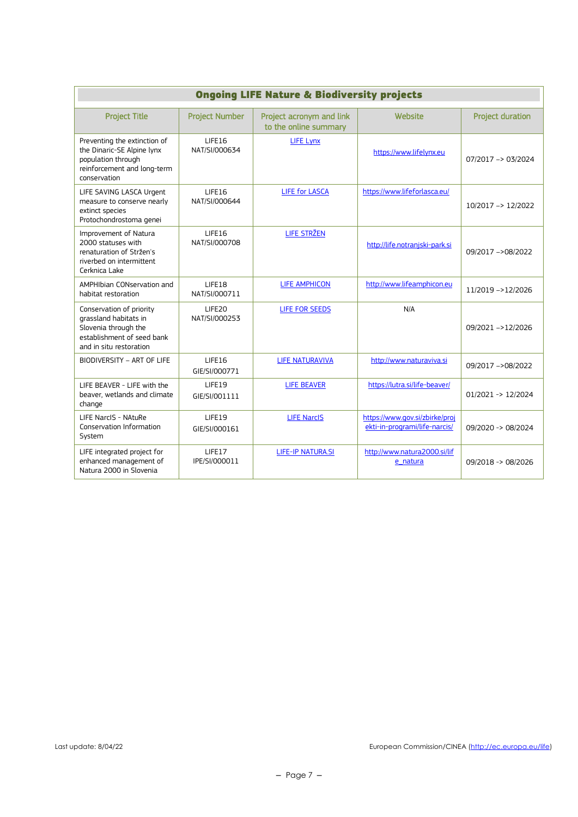| <b>Ongoing LIFE Nature &amp; Biodiversity projects</b>                                                                             |                         |                                                   |                                                                 |                         |
|------------------------------------------------------------------------------------------------------------------------------------|-------------------------|---------------------------------------------------|-----------------------------------------------------------------|-------------------------|
| <b>Project Title</b>                                                                                                               | <b>Project Number</b>   | Project acronym and link<br>to the online summary | Website                                                         | <b>Project duration</b> |
| Preventing the extinction of<br>the Dinaric-SE Alpine lynx<br>population through<br>reinforcement and long-term<br>conservation    | LIFE16<br>NAT/SI/000634 | <b>LIFE Lynx</b>                                  | https://www.lifelynx.eu                                         | $07/2017 - 03/2024$     |
| LIFE SAVING LASCA Urgent<br>measure to conserve nearly<br>extinct species<br>Protochondrostoma genei                               | LIFE16<br>NAT/SI/000644 | <b>LIFE for LASCA</b>                             | https://www.lifeforlasca.eu/                                    | 10/2017 -> 12/2022      |
| Improvement of Natura<br>2000 statuses with<br>renaturation of Stržen's<br>riverbed on intermittent<br>Cerknica Lake               | LIFE16<br>NAT/SI/000708 | <b>LIFE STRŽEN</b>                                | http://life.notranjski-park.si                                  | 09/2017 ->08/2022       |
| AMPHIbian CONservation and<br>habitat restoration                                                                                  | LIFE18<br>NAT/SI/000711 | <b>LIFE AMPHICON</b>                              | http://www.lifeamphicon.eu                                      | 11/2019 ->12/2026       |
| Conservation of priority<br>grassland habitats in<br>Slovenia through the<br>establishment of seed bank<br>and in situ restoration | LIFE20<br>NAT/SI/000253 | <b>LIFE FOR SEEDS</b>                             | N/A                                                             | 09/2021 ->12/2026       |
| BIODIVERSITY - ART OF LIFE                                                                                                         | LIFE16<br>GIE/SI/000771 | <b>LIFE NATURAVIVA</b>                            | http://www.naturaviva.si                                        | 09/2017 ->08/2022       |
| LIFE BEAVER - LIFE with the<br>beaver, wetlands and climate<br>change                                                              | LIFE19<br>GIE/SI/001111 | <b>LIFE BEAVER</b>                                | https://lutra.si/life-beaver/                                   | 01/2021 -> 12/2024      |
| LIFE NarcIS - NAtuRe<br>Conservation Information<br>System                                                                         | LIFE19<br>GIE/SI/000161 | <b>LIFE NarcIS</b>                                | https://www.gov.si/zbirke/proj<br>ekti-in-programi/life-narcis/ | 09/2020 -> 08/2024      |
| LIFE integrated project for<br>enhanced management of<br>Natura 2000 in Slovenia                                                   | LIFE17<br>IPE/SI/000011 | <b>LIFE-IP NATURA.SI</b>                          | http://www.natura2000.si/lif<br>e natura                        | 09/2018 -> 08/2026      |